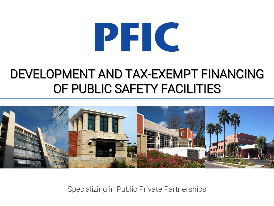# PEC

### DEVELOPMENT AND TAX-EXEMPT FINANCING OF PUBLIC SAFETY FACILITIES



Specializing in Public Private Partnerships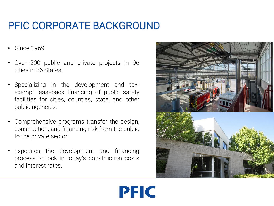#### PFIC CORPORATE BACKGROUND

- Since 1969
- Over 200 public and private projects in 96 cities in 36 States.
- Specializing in the development and taxexempt leaseback financing of public safety facilities for cities, counties, state, and other public agencies.
- Comprehensive programs transfer the design, construction, and financing risk from the public to the private sector.
- Expedites the development and financing process to lock in today's construction costs and interest rates.

**PFIC** 

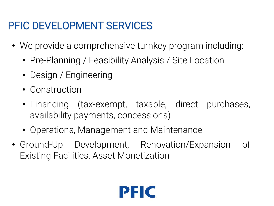#### PFIC DEVELOPMENT SERVICES

- We provide a comprehensive turnkey program including:
	- Pre-Planning / Feasibility Analysis / Site Location
	- Design / Engineering
	- Construction
	- Financing (tax-exempt, taxable, direct purchases, availability payments, concessions)
	- Operations, Management and Maintenance
- Ground-Up Development, Renovation/Expansion of Existing Facilities, Asset Monetization

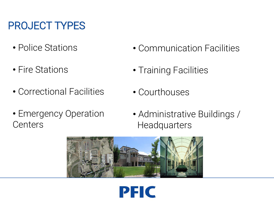#### PROJECT TYPES

- Police Stations
- Fire Stations
- Correctional Facilities
- Emergency Operation **Centers**
- Communication Facilities
- Training Facilities
- Courthouses
- Administrative Buildings / **Headquarters**



PFIC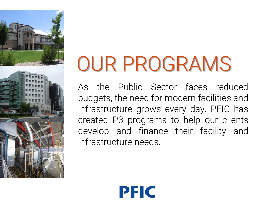

## OUR PROGRAMS

PFIC

As the Public Sector faces reduced budgets, the need for modern facilities and infrastructure grows every day. PFIC has created P3 programs to help our clients develop and finance their facility and infrastructure needs.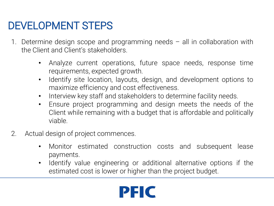#### DEVELOPMENT STEPS

- 1. Determine design scope and programming needs all in collaboration with the Client and Client's stakeholders.
	- Analyze current operations, future space needs, response time requirements, expected growth.
	- Identify site location, layouts, design, and development options to maximize efficiency and cost effectiveness.
	- Interview key staff and stakeholders to determine facility needs.
	- Ensure project programming and design meets the needs of the Client while remaining with a budget that is affordable and politically viable.
- 2. Actual design of project commences.
	- Monitor estimated construction costs and subsequent lease payments.
	- Identify value engineering or additional alternative options if the estimated cost is lower or higher than the project budget.

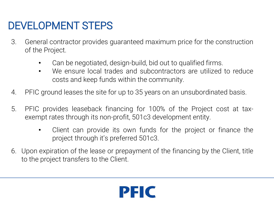#### DEVELOPMENT STEPS

- 3. General contractor provides guaranteed maximum price for the construction of the Project.
	- Can be negotiated, design-build, bid out to qualified firms.
	- We ensure local trades and subcontractors are utilized to reduce costs and keep funds within the community.
- 4. PFIC ground leases the site for up to 35 years on an unsubordinated basis.
- 5. PFIC provides leaseback financing for 100% of the Project cost at taxexempt rates through its non-profit, 501c3 development entity.
	- Client can provide its own funds for the project or finance the project through it's preferred 501c3.
- 6. Upon expiration of the lease or prepayment of the financing by the Client, title to the project transfers to the Client.

PEIC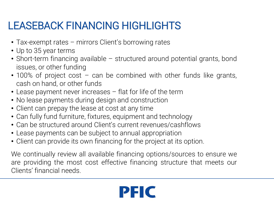#### LEASEBACK FINANCING HIGHLIGHTS

- Tax-exempt rates mirrors Client's borrowing rates
- Up to 35 year terms
- Short-term financing available structured around potential grants, bond issues, or other funding
- 100% of project cost can be combined with other funds like grants, cash on hand, or other funds
- Lease payment never increases flat for life of the term
- No lease payments during design and construction
- Client can prepay the lease at cost at any time
- Can fully fund furniture, fixtures, equipment and technology
- Can be structured around Client's current revenues/cashflows
- Lease payments can be subject to annual appropriation
- Client can provide its own financing for the project at its option.

We continually review all available financing options/sources to ensure we are providing the most cost effective financing structure that meets our Clients' financial needs.

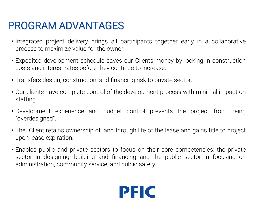#### PROGRAM ADVANTAGES

- Integrated project delivery brings all participants together early in a collaborative process to maximize value for the owner.
- Expedited development schedule saves our Clients money by locking in construction costs and interest rates before they continue to increase.
- Transfers design, construction, and financing risk to private sector.
- Our clients have complete control of the development process with minimal impact on staffing.
- Development experience and budget control prevents the project from being "overdesigned".
- The Client retains ownership of land through life of the lease and gains title to project upon lease expiration.
- Enables public and private sectors to focus on their core competencies: the private sector in designing, building and financing and the public sector in focusing on administration, community service, and public safety.